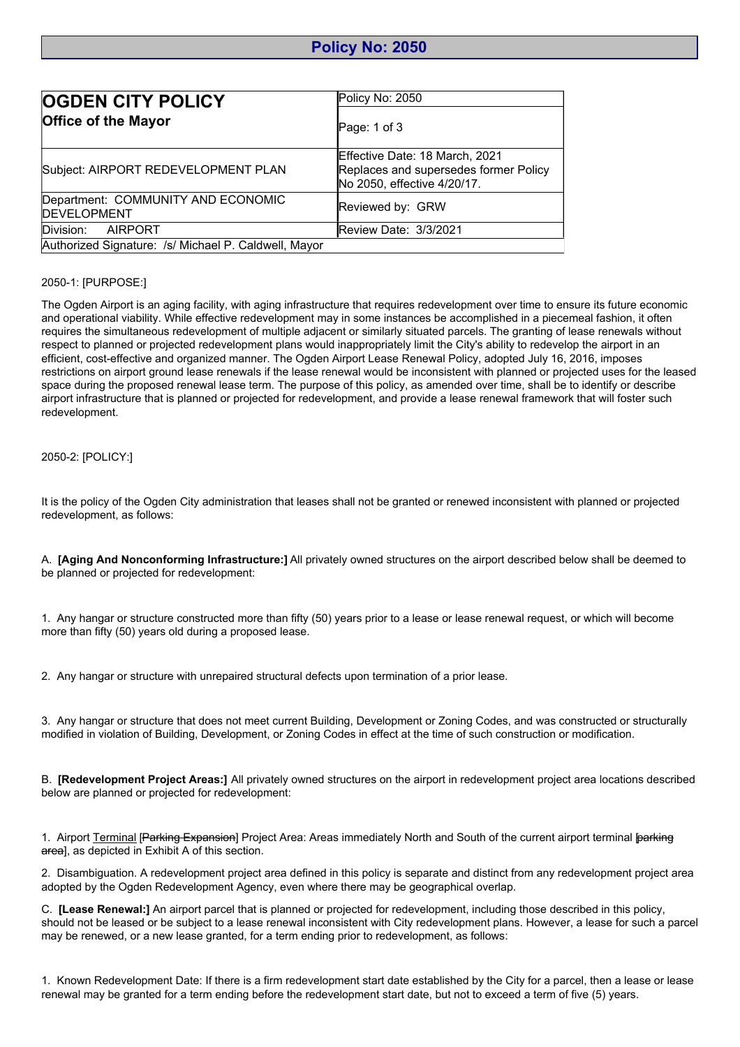## **Policy No: 2050**

| <b>OGDEN CITY POLICY</b>                                  | Policy No: 2050                                                                                        |
|-----------------------------------------------------------|--------------------------------------------------------------------------------------------------------|
| <b>Office of the Mayor</b>                                | Page: $1$ of $3$                                                                                       |
| Subject: AIRPORT REDEVELOPMENT PLAN                       | Effective Date: 18 March, 2021<br>Replaces and supersedes former Policy<br>No 2050, effective 4/20/17. |
| Department: COMMUNITY AND ECONOMIC<br><b>IDEVELOPMENT</b> | Reviewed by: GRW                                                                                       |
| Division: AIRPORT                                         | Review Date: 3/3/2021                                                                                  |
| Authorized Signature: /s/ Michael P. Caldwell, Mayor      |                                                                                                        |

## 2050-1: [PURPOSE:]

The Ogden Airport is an aging facility, with aging infrastructure that requires redevelopment over time to ensure its future economic and operational viability. While effective redevelopment may in some instances be accomplished in a piecemeal fashion, it often requires the simultaneous redevelopment of multiple adjacent or similarly situated parcels. The granting of lease renewals without respect to planned or projected redevelopment plans would inappropriately limit the City's ability to redevelop the airport in an efficient, cost-effective and organized manner. The Ogden Airport Lease Renewal Policy, adopted July 16, 2016, imposes restrictions on airport ground lease renewals if the lease renewal would be inconsistent with planned or projected uses for the leased space during the proposed renewal lease term. The purpose of this policy, as amended over time, shall be to identify or describe airport infrastructure that is planned or projected for redevelopment, and provide a lease renewal framework that will foster such redevelopment.

## 2050-2: [POLICY:]

It is the policy of the Ogden City administration that leases shall not be granted or renewed inconsistent with planned or projected redevelopment, as follows:

A. **[Aging And Nonconforming Infrastructure:]** All privately owned structures on the airport described below shall be deemed to be planned or projected for redevelopment:

1. Any hangar or structure constructed more than fifty (50) years prior to a lease or lease renewal request, or which will become more than fifty (50) years old during a proposed lease.

2. Any hangar or structure with unrepaired structural defects upon termination of a prior lease.

3. Any hangar or structure that does not meet current Building, Development or Zoning Codes, and was constructed or structurally modified in violation of Building, Development, or Zoning Codes in effect at the time of such construction or modification.

B. **[Redevelopment Project Areas:]** All privately owned structures on the airport in redevelopment project area locations described below are planned or projected for redevelopment:

1. Airport Terminal [Parking Expansion] Project Area: Areas immediately North and South of the current airport terminal [parking] area], as depicted in Exhibit A of this section.

2. Disambiguation. A redevelopment project area defined in this policy is separate and distinct from any redevelopment project area adopted by the Ogden Redevelopment Agency, even where there may be geographical overlap.

C. **[Lease Renewal:]** An airport parcel that is planned or projected for redevelopment, including those described in this policy, should not be leased or be subject to a lease renewal inconsistent with City redevelopment plans. However, a lease for such a parcel may be renewed, or a new lease granted, for a term ending prior to redevelopment, as follows:

1. Known Redevelopment Date: If there is a firm redevelopment start date established by the City for a parcel, then a lease or lease renewal may be granted for a term ending before the redevelopment start date, but not to exceed a term of five (5) years.